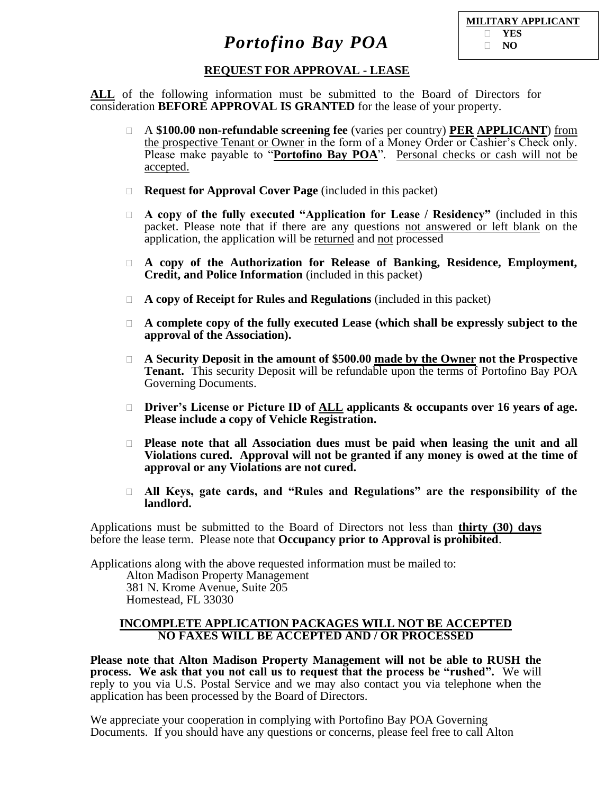| <b>MILITARY APPLICANT</b> |
|---------------------------|
| $\Box$ YES                |
| $\Box$ NO                 |

### **REQUEST FOR APPROVAL - LEASE**

**ALL** of the following information must be submitted to the Board of Directors for consideration **BEFORE APPROVAL IS GRANTED** for the lease of your property.

- A **\$100.00 non-refundable screening fee** (varies per country) **PER APPLICANT**) from the prospective Tenant or Owner in the form of a Money Order or Cashier's Check only. Please make payable to "**Portofino Bay POA**". Personal checks or cash will not be accepted.
- **Request for Approval Cover Page** (included in this packet)
- **A copy of the fully executed "Application for Lease / Residency"** (included in this packet. Please note that if there are any questions not answered or left blank on the application, the application will be returned and not processed
- **A copy of the Authorization for Release of Banking, Residence, Employment, Credit, and Police Information** (included in this packet)
- **A copy of Receipt for Rules and Regulations** (included in this packet)
- **A complete copy of the fully executed Lease (which shall be expressly subject to the approval of the Association).**
- **A Security Deposit in the amount of \$500.00 made by the Owner not the Prospective Tenant.** This security Deposit will be refundable upon the terms of Portofino Bay POA Governing Documents.
- **Driver's License or Picture ID of ALL applicants & occupants over 16 years of age. Please include a copy of Vehicle Registration.**
- **Please note that all Association dues must be paid when leasing the unit and all Violations cured. Approval will not be granted if any money is owed at the time of approval or any Violations are not cured.**
- **All Keys, gate cards, and "Rules and Regulations" are the responsibility of the landlord.**

Applications must be submitted to the Board of Directors not less than **thirty (30) days** before the lease term. Please note that **Occupancy prior to Approval is prohibited**.

Applications along with the above requested information must be mailed to:

Alton Madison Property Management 381 N. Krome Avenue, Suite 205 Homestead, FL 33030

#### **INCOMPLETE APPLICATION PACKAGES WILL NOT BE ACCEPTED NO FAXES WILL BE ACCEPTED AND / OR PROCESSED**

**Please note that Alton Madison Property Management will not be able to RUSH the process. We ask that you not call us to request that the process be "rushed".** We will reply to you via U.S. Postal Service and we may also contact you via telephone when the application has been processed by the Board of Directors.

We appreciate your cooperation in complying with Portofino Bay POA Governing Documents. If you should have any questions or concerns, please feel free to call Alton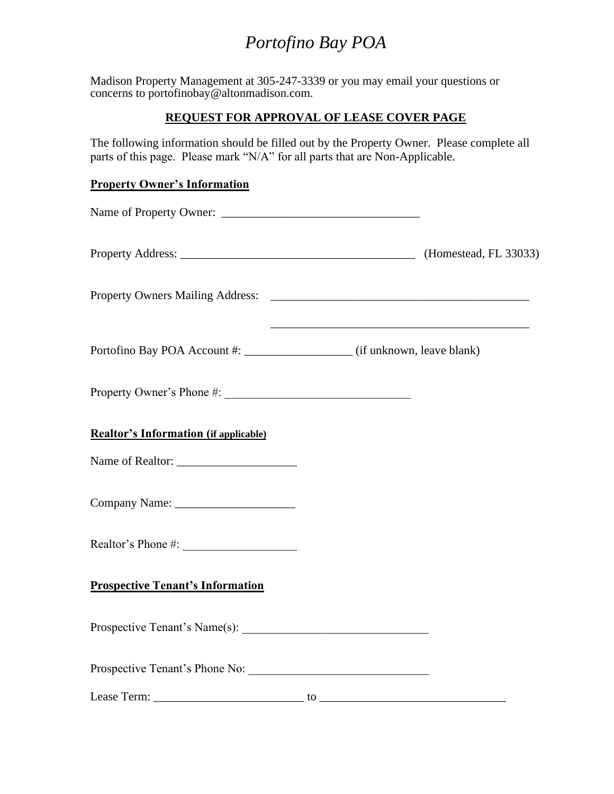Madison Property Management at 305-247-3339 or you may email your questions or concerns to portofinobay@altonmadison.com.

## **REQUEST FOR APPROVAL OF LEASE COVER PAGE**

The following information should be filled out by the Property Owner. Please complete all parts of this page. Please mark "N/A" for all parts that are Non-Applicable.

### **Property Owner's Information**

|                                              | <u> 1989 - Johann Stoff, amerikansk politiker (* 1908)</u> |
|----------------------------------------------|------------------------------------------------------------|
|                                              |                                                            |
| <b>Realtor's Information (if applicable)</b> |                                                            |
|                                              |                                                            |
|                                              |                                                            |
|                                              |                                                            |
| <b>Prospective Tenant's Information</b>      |                                                            |
|                                              |                                                            |
|                                              |                                                            |
|                                              |                                                            |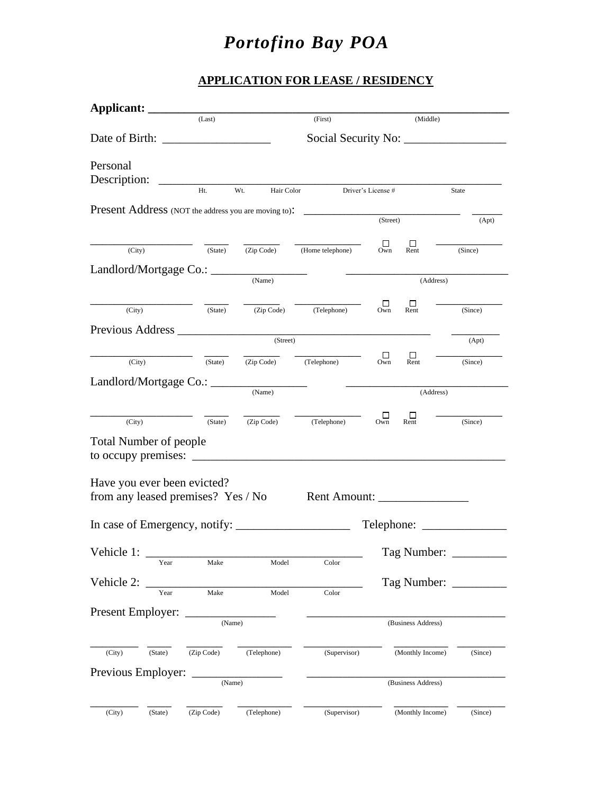## **APPLICATION FOR LEASE / RESIDENCY**

| Applicant:                    |         |                                                                   |                    |                                                             |          |                    |                        |
|-------------------------------|---------|-------------------------------------------------------------------|--------------------|-------------------------------------------------------------|----------|--------------------|------------------------|
|                               |         | (Last)                                                            |                    | (First)                                                     |          | (Middle)           |                        |
|                               |         |                                                                   |                    |                                                             |          |                    |                        |
| Personal<br>Description:      |         |                                                                   |                    |                                                             |          |                    |                        |
|                               |         | Ht.                                                               | Wt.                | Hair Color Driver's License #                               |          |                    | State                  |
|                               |         |                                                                   |                    | <b>Present Address</b> (NOT the address you are moving to): |          |                    |                        |
|                               |         |                                                                   |                    |                                                             | (Street) |                    | (Apt)                  |
| (City)                        |         | (State)                                                           | (Zip Code)         | (Home telephone)                                            | □<br>Own | □<br>Rent          | (Since)                |
|                               |         |                                                                   |                    |                                                             |          |                    |                        |
|                               |         |                                                                   | (Name)             |                                                             |          | (Address)          |                        |
|                               |         |                                                                   |                    |                                                             |          |                    |                        |
| (City)                        |         | (State)                                                           | (Zip Code)         | (Telephone)                                                 | П<br>Own | □<br>Rent          | (Since)                |
|                               |         |                                                                   |                    | Previous Address <b>Exercísion</b>                          |          |                    |                        |
|                               |         |                                                                   | (Street)           |                                                             |          |                    | (Apt)                  |
|                               | (City)  | (State)                                                           | (Zip Code)         | (Telephone)                                                 | □<br>Own | □<br>Rent          | (Since)                |
|                               |         | Landlord/Mortgage Co.: ____                                       |                    |                                                             |          |                    |                        |
|                               |         |                                                                   | (Name)             |                                                             |          | (Address)          |                        |
|                               |         |                                                                   |                    |                                                             | ப        | Ш                  |                        |
| (City)                        |         | (State)                                                           | (Zip Code)         | (Telephone)                                                 | Own      | Rent               | (Since)                |
| <b>Total Number of people</b> |         |                                                                   |                    |                                                             |          |                    |                        |
| to occupy premises: $\_\_$    |         |                                                                   |                    |                                                             |          |                    |                        |
|                               |         |                                                                   |                    |                                                             |          |                    |                        |
|                               |         | Have you ever been evicted?<br>from any leased premises? Yes / No |                    | Rent Amount: _________________                              |          |                    |                        |
|                               |         |                                                                   |                    |                                                             |          |                    |                        |
|                               |         |                                                                   |                    |                                                             |          |                    |                        |
|                               |         |                                                                   |                    |                                                             |          |                    |                        |
| Vehicle 1:                    | Year    | Make                                                              | Model              | Color                                                       |          |                    | Tag Number: __________ |
| Vehicle 2:                    |         |                                                                   |                    |                                                             |          |                    | Tag Number:            |
|                               | Year    | Make                                                              | Model              | Color                                                       |          |                    |                        |
| Present Employer:             |         |                                                                   |                    |                                                             |          |                    |                        |
|                               |         | (Name)                                                            |                    |                                                             |          | (Business Address) |                        |
|                               |         |                                                                   |                    |                                                             |          |                    |                        |
| (City)                        | (State) | (Zip Code)                                                        | (Telephone)        | (Supervisor)                                                |          | (Monthly Income)   | (Since)                |
| Previous Employer:            |         |                                                                   |                    |                                                             |          |                    |                        |
| (Name)                        |         |                                                                   | (Business Address) |                                                             |          |                    |                        |
|                               |         |                                                                   |                    |                                                             |          |                    |                        |
| (City)                        | (State) | (Zip Code)                                                        | (Telephone)        | (Supervisor)                                                |          | (Monthly Income)   | (Since)                |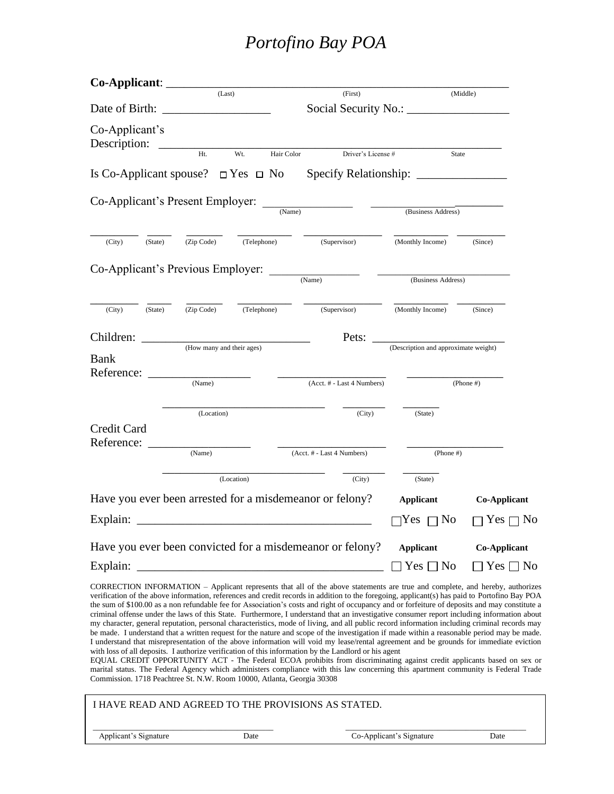|                                                          |                           | (Last)            | (First)                                                                                                                                                                                                                                                                                                                                                                                                                                                                                                                                                                                                                                                                                                                                                                                                                                                                    |                                      | (Middle)            |
|----------------------------------------------------------|---------------------------|-------------------|----------------------------------------------------------------------------------------------------------------------------------------------------------------------------------------------------------------------------------------------------------------------------------------------------------------------------------------------------------------------------------------------------------------------------------------------------------------------------------------------------------------------------------------------------------------------------------------------------------------------------------------------------------------------------------------------------------------------------------------------------------------------------------------------------------------------------------------------------------------------------|--------------------------------------|---------------------|
| Date of Birth:                                           |                           |                   |                                                                                                                                                                                                                                                                                                                                                                                                                                                                                                                                                                                                                                                                                                                                                                                                                                                                            |                                      |                     |
| Co-Applicant's<br>Description:                           |                           |                   |                                                                                                                                                                                                                                                                                                                                                                                                                                                                                                                                                                                                                                                                                                                                                                                                                                                                            |                                      |                     |
|                                                          | Ht.                       | Wt.<br>Hair Color | Driver's License #                                                                                                                                                                                                                                                                                                                                                                                                                                                                                                                                                                                                                                                                                                                                                                                                                                                         | <b>State</b>                         |                     |
|                                                          |                           |                   |                                                                                                                                                                                                                                                                                                                                                                                                                                                                                                                                                                                                                                                                                                                                                                                                                                                                            |                                      |                     |
| Co-Applicant's Present Employer:                         |                           |                   |                                                                                                                                                                                                                                                                                                                                                                                                                                                                                                                                                                                                                                                                                                                                                                                                                                                                            |                                      |                     |
|                                                          |                           | (Name)            |                                                                                                                                                                                                                                                                                                                                                                                                                                                                                                                                                                                                                                                                                                                                                                                                                                                                            | (Business Address)                   |                     |
| (City)<br>(State)                                        | (Zip Code)                | (Telephone)       | (Supervisor)                                                                                                                                                                                                                                                                                                                                                                                                                                                                                                                                                                                                                                                                                                                                                                                                                                                               | (Monthly Income)                     | (Since)             |
| Co-Applicant's Previous Employer:                        |                           |                   | (Name)                                                                                                                                                                                                                                                                                                                                                                                                                                                                                                                                                                                                                                                                                                                                                                                                                                                                     | (Business Address)                   |                     |
|                                                          |                           |                   |                                                                                                                                                                                                                                                                                                                                                                                                                                                                                                                                                                                                                                                                                                                                                                                                                                                                            |                                      |                     |
| (City)<br>(State)                                        | (Zip Code)                | (Telephone)       | (Supervisor)                                                                                                                                                                                                                                                                                                                                                                                                                                                                                                                                                                                                                                                                                                                                                                                                                                                               | (Monthly Income)                     | (Since)             |
| Children:                                                |                           |                   | Pets:                                                                                                                                                                                                                                                                                                                                                                                                                                                                                                                                                                                                                                                                                                                                                                                                                                                                      |                                      |                     |
| <b>Bank</b><br>Reference:                                | (How many and their ages) |                   |                                                                                                                                                                                                                                                                                                                                                                                                                                                                                                                                                                                                                                                                                                                                                                                                                                                                            | (Description and approximate weight) |                     |
|                                                          | (Name)                    |                   | (Acct. # - Last 4 Numbers)                                                                                                                                                                                                                                                                                                                                                                                                                                                                                                                                                                                                                                                                                                                                                                                                                                                 |                                      | (Phone #)           |
|                                                          | (Location)                |                   | (City)                                                                                                                                                                                                                                                                                                                                                                                                                                                                                                                                                                                                                                                                                                                                                                                                                                                                     | (State)                              |                     |
| Credit Card<br>Reference:                                |                           |                   |                                                                                                                                                                                                                                                                                                                                                                                                                                                                                                                                                                                                                                                                                                                                                                                                                                                                            |                                      |                     |
|                                                          | (Name)                    |                   | (Acct. # - Last 4 Numbers)                                                                                                                                                                                                                                                                                                                                                                                                                                                                                                                                                                                                                                                                                                                                                                                                                                                 | $(Phone \#)$                         |                     |
|                                                          |                           | (Location)        | (City)                                                                                                                                                                                                                                                                                                                                                                                                                                                                                                                                                                                                                                                                                                                                                                                                                                                                     | (State)                              |                     |
| Have you ever been arrested for a misdemeanor or felony? |                           |                   | <b>Applicant</b>                                                                                                                                                                                                                                                                                                                                                                                                                                                                                                                                                                                                                                                                                                                                                                                                                                                           | <b>Co-Applicant</b>                  |                     |
| Explain:                                                 |                           |                   |                                                                                                                                                                                                                                                                                                                                                                                                                                                                                                                                                                                                                                                                                                                                                                                                                                                                            | N <sub>0</sub><br>Yes                | Yes [<br>7 No       |
|                                                          |                           |                   | Have you ever been convicted for a misdemeanor or felony?                                                                                                                                                                                                                                                                                                                                                                                                                                                                                                                                                                                                                                                                                                                                                                                                                  | <b>Applicant</b>                     | <b>Co-Applicant</b> |
| Explain:                                                 |                           |                   |                                                                                                                                                                                                                                                                                                                                                                                                                                                                                                                                                                                                                                                                                                                                                                                                                                                                            | $\Box$ Yes $\Box$ No                 | ⊃ Yes □ No          |
|                                                          |                           |                   | CORRECTION INFORMATION – Applicant represents that all of the above statements are true and complete, and hereby, authorizes<br>verification of the above information, references and credit records in addition to the foregoing, applicant(s) has paid to Portofino Bay POA<br>the sum of \$100.00 as a non refundable fee for Association's costs and right of occupancy and or forfeiture of deposits and may constitute a<br>criminal offense under the laws of this State. Furthermore, I understand that an investigative consumer report including information about<br>my character, general reputation, personal characteristics, mode of living, and all public record information including criminal records may<br>be made. I understand that a written request for the nature and scope of the investigation if made within a reasonable period may be made. |                                      |                     |

with loss of all deposits. I authorize verification of this information by the Landlord or his agent EQUAL CREDIT OPPORTUNITY ACT - The Federal ECOA prohibits from discriminating against credit applicants based on sex or marital status. The Federal Agency which administers compliance with this law concerning this apartment community is Federal Trade Commission. 1718 Peachtree St. N.W. Room 10000, Atlanta, Georgia 30308

I understand that misrepresentation of the above information will void my lease/rental agreement and be grounds for immediate eviction

| I HAVE READ AND AGREED TO THE PROVISIONS AS STATED. |      |                          |      |
|-----------------------------------------------------|------|--------------------------|------|
| Applicant's Signature                               | Date | Co-Applicant's Signature | Date |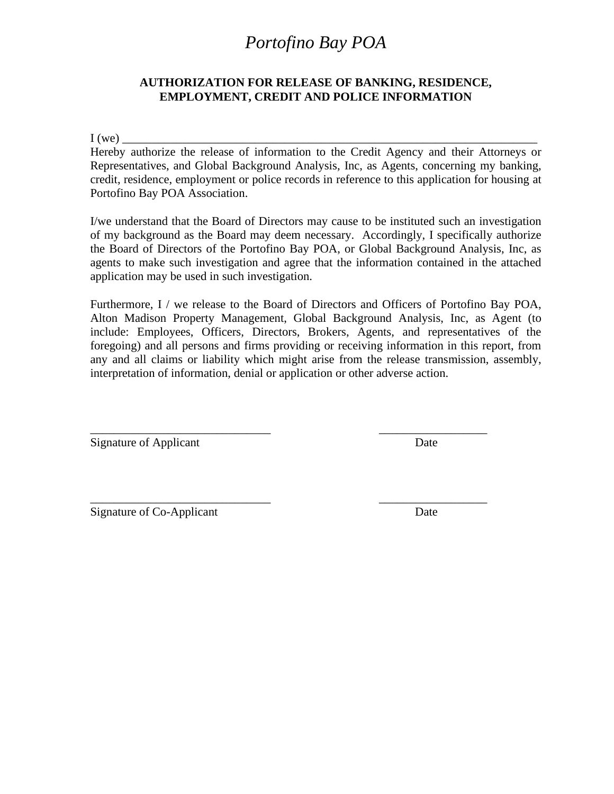### **AUTHORIZATION FOR RELEASE OF BANKING, RESIDENCE, EMPLOYMENT, CREDIT AND POLICE INFORMATION**

 $I(we)$ 

Hereby authorize the release of information to the Credit Agency and their Attorneys or Representatives, and Global Background Analysis, Inc, as Agents, concerning my banking, credit, residence, employment or police records in reference to this application for housing at Portofino Bay POA Association.

I/we understand that the Board of Directors may cause to be instituted such an investigation of my background as the Board may deem necessary. Accordingly, I specifically authorize the Board of Directors of the Portofino Bay POA, or Global Background Analysis, Inc, as agents to make such investigation and agree that the information contained in the attached application may be used in such investigation.

Furthermore, I / we release to the Board of Directors and Officers of Portofino Bay POA, Alton Madison Property Management, Global Background Analysis, Inc, as Agent (to include: Employees, Officers, Directors, Brokers, Agents, and representatives of the foregoing) and all persons and firms providing or receiving information in this report, from any and all claims or liability which might arise from the release transmission, assembly, interpretation of information, denial or application or other adverse action.

\_\_\_\_\_\_\_\_\_\_\_\_\_\_\_\_\_\_\_\_\_\_\_\_\_\_\_\_\_\_ \_\_\_\_\_\_\_\_\_\_\_\_\_\_\_\_\_\_

\_\_\_\_\_\_\_\_\_\_\_\_\_\_\_\_\_\_\_\_\_\_\_\_\_\_\_\_\_\_ \_\_\_\_\_\_\_\_\_\_\_\_\_\_\_\_\_\_

Signature of Applicant Date

Signature of Co-Applicant Date